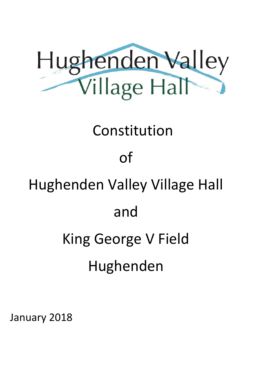

### Constitution

### of

## Hughenden Valley Village Hall

### and

# King George V Field

Hughenden

January 2018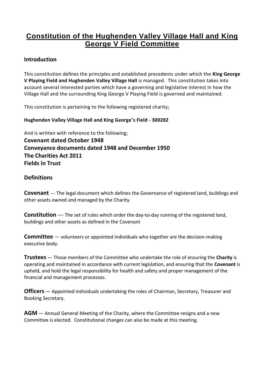#### **Constitution of the Hughenden Valley Village Hall and King George V Field Committee**

#### **Introduction**

This constitution defines the principles and established precedents under which the **King George V Playing Field and Hughenden Valley Village Hall** is managed. This constitution takes into account several interested parties which have a governing and legislative interest in how the Village Hall and the surrounding King George V Playing Field is governed and maintained.

This constitution is pertaining to the following registered charity;

#### **Hughenden Valley Village Hall and King George's Field - 300282**

And is written with reference to the following; **Covenant dated October 1948 Conveyance documents dated 1948 and December 1950 The Charities Act 2011 Fields in Trust**

#### **Definitions**

**Covenant** --- The legal document which defines the Governance of registered land, buildings and other assets owned and managed by the Charity.

**Constitution** --- The set of rules which order the day-to-day running of the registered land, buildings and other assets as defined in the Covenant

**Committee** — volunteers or appointed individuals who together are the decision-making executive body.

**Trustees** — Those members of the Committee who undertake the role of ensuring the **Charity** is operating and maintained in accordance with current legislation, and ensuring that the **Covenant** is upheld, and hold the legal responsibility for health and safety and proper management of the financial and management processes.

**Officers** — Appointed individuals undertaking the roles of Chairman, Secretary, Treasurer and Booking Secretary.

**AGM** — Annual General Meeting of the Charity, where the Committee resigns and a new Committee is elected. Constitutional changes can also be made at this meeting.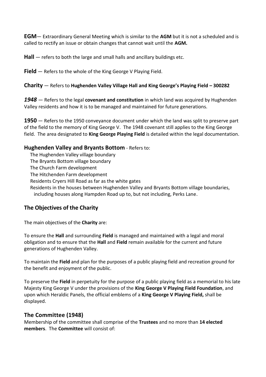**EGM**— Extraordinary General Meeting which is similar to the **AGM** but it is not a scheduled and is called to rectify an issue or obtain changes that cannot wait until the **AGM.**

**Hall** — refers to both the large and small halls and ancillary buildings etc.

**Field** — Refers to the whole of the King George V Playing Field.

#### **Charity** — Refers to **Hughenden Valley Village Hall and King George's Playing Field – 300282**

*1948 —* Refers to the legal **covenant and constitution** in which land was acquired by Hughenden Valley residents and how it is to be managed and maintained for future generations.

**1950** — Refers to the 1950 conveyance document under which the land was split to preserve part of the field to the memory of King George V. The 1948 covenant still applies to the King George field. The area designated to **King George Playing Field** is detailed within the legal documentation.

#### **Hughenden Valley and Bryants Bottom** - Refers to:

- The Hughenden Valley village boundary
- The Bryants Bottom village boundary
- The Church Farm development
- The Hitchenden Farm development
- Residents Cryers Hill Road as far as the white gates
- Residents in the houses between Hughenden Valley and Bryants Bottom village boundaries, including houses along Hampden Road up to, but not including, Perks Lane.

#### **The Objectives of the Charity**

The main objectives of the **Charity** are:

To ensure the **Hall**and surrounding **Field** is managed and maintained with a legal and moral obligation and to ensure that the **Hall**and **Field** remain available for the current and future generations of Hughenden Valley.

To maintain the **Field** and plan for the purposes of a public playing field and recreation ground for the benefit and enjoyment of the public.

To preserve the **Field** in perpetuity for the purpose of a public playing field as a memorial to his late Majesty King George V under the provisions of the **King George V Playing Field Foundation**, and upon which Heraldic Panels, the official emblems of a **King George V Playing Field,** shall be displayed.

#### **The Committee (1948)**

Membership of the committee shall comprise of the **Trustees** and no more than **14 elected members**. The **Committee** will consist of: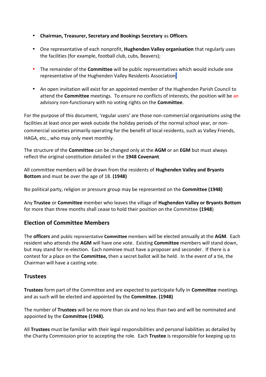- **Chairman, Treasurer, Secretary and Bookings Secretary** as **Officers**.
- One representative of each nonprofit, **Hughenden Valley organisation** that regularly uses the facilities (for example, football club, cubs, Beavers);
- The remainder of the **Committee** will be public representatives which would include one representative of the Hughenden Valley Residents Association.
- An open invitation will exist for an appointed member of the Hughenden Parish Council to attend the **Committee** meetings. To ensure no conflicts of interests, the position will be an advisory non-functionary with no voting rights on the **Committee**.

For the purpose of this document, 'regular users' are those non-commercial organisations using the facilities at least once per week outside the holiday periods of the normal school year, or non commercial societies primarily operating for the benefit of local residents, such as Valley Friends, HAGA, etc., who may only meet monthly.

The structure of the **Committee** can be changed only at the **AGM** or an **EGM** but mustalways reflect the original constitution detailed in the **1948 Covenant**.

All committee members will be drawn from the residents of **Hughenden Valley and Bryants Bottom** and must be over the age of 18. **(1948)**

No political party, religion or pressure group may be represented on the **Committee (1948)**

Any **Trustee** or**Committee** member who leaves the village of **Hughenden Valley or Bryants Bottom** for more than three months shall cease to hold their position on the Committee **(1948**)

#### **Election of Committee Members**

The **officers** and public representative **Committee** members will be elected annually at the **AGM**. Each resident who attends the **AGM** will have one vote. Existing **Committee** members will stand down, but may stand for re-election. Each nominee must have a proposer and seconder. If there is a contest for a place on the **Committee,** then a secret ballot will be held. In the event of a tie, the Chairman will have a casting vote.

#### **Trustees**

**Trustees** form part of the Committee and are expected to participate fully in **Committee** meetings and as such will be elected and appointed by the **Committee. (1948)**

The number of **Trustees** will be no more than six and no less than two and will be nominated and appointed by the **Committee (1948).**

All **Trustees** must be familiar with their legal responsibilities and personal liabilities as detailed by the Charity Commission prior to accepting the role. Each **Trustee** is responsible for keeping up to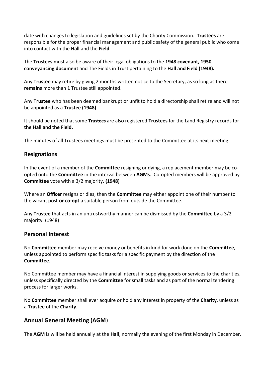date with changes to legislation and guidelines set by the Charity Commission. **Trustees** are responsible for the proper financial management and public safety of the general public who come into contact with the **Hall**and the **Field**.

The **Trustees** must also be aware of their legal obligations to the **1948 covenant, 1950 conveyancing document** and The Fields in Trust pertaining to the **Hall and Field (1948).**

Any **Trustee** may retire by giving 2 months written notice to the Secretary, as so long as there **remains** more than 1 Trustee still appointed.

Any **Trustee** who has been deemed bankrupt or unfit to hold a directorship shall retire and will not be appointed as a **Trustee (1948)**

It should be noted that some **Trustees** are also registered **Trustees** for the Land Registry records for **the Hall and the Field.**

The minutes of all Trustees meetings must be presented to the Committee at its next meeting.

#### **Resignations**

In the event of a member of the **Committee** resigning or dying, a replacement member may be co opted onto the **Committee** in the interval between **AGMs**. Co-opted members will be approved by **Committee** vote with a 3/2 majority. **(1948)**

Where an **Officer** resigns or dies, then the **Committee** may either appoint one of their number to the vacant post **or co-opt** a suitable person from outside the Committee.

Any **Trustee** that acts in an untrustworthy manner can be dismissed by the **Committee** by a 3/2 majority. (1948)

#### **Personal Interest**

No **Committee** member may receive money or benefits in kind for work done on the **Committee**, unless appointed to perform specific tasks for a specific payment by the direction of the **Committee**.

No Committee member may have a financial interest in supplying goods or services to the charities, unless specifically directed by the **Committee** for small tasks and as part of the normal tendering process for larger works.

No **Committee** member shall ever acquire or hold any interest in property of the **Charity**, unless as a **Trustee** of the **Charity**.

#### **Annual General Meeting (AGM**)

The **AGM** is will be held annually at the **Hall**, normally the evening of the first Monday in December.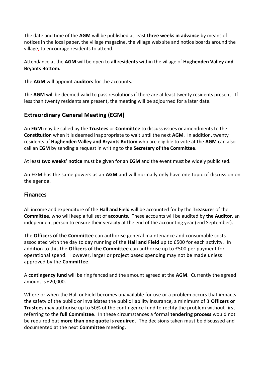The date and time of the **AGM** will be published at least **three weeks in advance** by means of notices in the local paper, the village magazine, the village web site and notice boards around the village, to encourage residents to attend.

Attendance at the **AGM** will be open to **all residents** within the village of **Hughenden Valley and Bryants Bottom.**

The **AGM** will appoint **auditors** for the accounts.

The **AGM** will be deemed valid to pass resolutions if there are at least twenty residents present. If less than twenty residents are present, the meeting will be adjourned for a later date.

#### **Extraordinary General Meeting (EGM)**

An **EGM** may be called by the **Trustees** or **Committee** to discuss issues or amendments to the **Constitution** when it is deemed inappropriate to wait until the next **AGM**. In addition, twenty residents of **Hughenden Valley and Bryants Bottom** who are eligible to vote at the **AGM** can also call an **EGM** by sending a request in writing to the **Secretary of the Committee**.

At least **two weeks' notice** must be given for an **EGM** and the event must be widely publicised.

An EGM has the same powers as an **AGM** and will normally only have one topic of discussion on the agenda.

#### **Finances**

All income and expenditure of the **Hall and Field** will be accounted for by the **Treasurer** of the **Committee**, who will keep a full set of **accounts**. These accounts will be audited by **the Auditor**, an independent person to ensure their veracity at the end of the accounting year (end September).

The **Officers of the Committee** can authorise general maintenance and consumable costs associated with the day to day running of the **Hall and Field** up to £500 for each activity. In addition to this the **Officers of the Committee** can authorise up to £500 per payment for operational spend. However, larger or project based spending may not be made unless approved by the **Committee**.

A **contingency fund** will be ring fenced and the amount agreed at the **AGM**. Currently the agreed amount is £20,000.

Where or when the Hall or Field becomes unavailable for use or a problem occurs that impacts the safety of the public or invalidates the public liability insurance, a minimum of 3 **Officers or Trustees** may authorise up to 50% of the contingence fund to rectify the problem without first referring to the **full Committee**. In these circumstances a formal **tendering process** would not be required but **more than one quote is required**. The decisions taken must be discussed and documented at the next **Committee** meeting.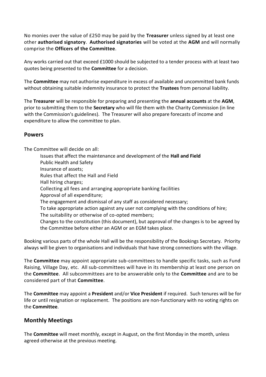No monies over the value of £250 may be paid by the **Treasurer** unless signed by at least one other **authorised signatory**. **Authorised signatories** will be voted at the **AGM** and will normally comprise the **Officers of the Committee**.

Any works carried out that exceed £1000 should be subjected to a tender process with at least two quotes being presented to the **Committee** for a decision.

The **Committee** may not authorise expenditure in excess of available and uncommitted bank funds without obtaining suitable indemnity insurance to protect the **Trustees** from personal liability.

The **Treasurer** will be responsible for preparing and presenting the **annual accounts** at the **AGM**, prior to submitting them to the **Secretary** who will file them with the Charity Commission (in line with the Commission's guidelines). The Treasurer will also prepare forecasts of income and expenditure to allow the committee to plan.

#### **Powers**

The Committee will decide on all:

Issues that affect the maintenance and development of the **Hall and Field** Public Health and Safety Insurance of assets; Rules that affect the Hall and Field Hall hiring charges; Collecting all fees and arranging appropriate banking facilities Approval of all expenditure; The engagement and dismissal of any staff as considered necessary; To take appropriate action against any user not complying with the conditions of hire; The suitability or otherwise of co-opted members; Changes to the constitution (this document), but approval of the changes is to be agreed by the Committee before either an AGM or an EGM takes place.

Booking various parts of the whole Hall will be the responsibility of the Bookings Secretary. Priority always will be given to organisations and individuals that have strong connections with the village.

The **Committee** may appoint appropriate sub-committees to handle specific tasks, such as Fund Raising, Village Day, etc. All sub-committees will have in its membership at least one person on the **Committee**. All subcommittees are to be answerable only to the **Committee** and are to be considered part of that **Committee**.

The **Committee** may appoint a **President** and/or **Vice President** if required. Such tenures will be for life or until resignation or replacement. The positions are non-functionary with no voting rights on the **Committee**.

#### **Monthly Meetings**

The **Committee** will meet monthly, except in August, on the first Monday in the month, unless agreed otherwise at the previous meeting.